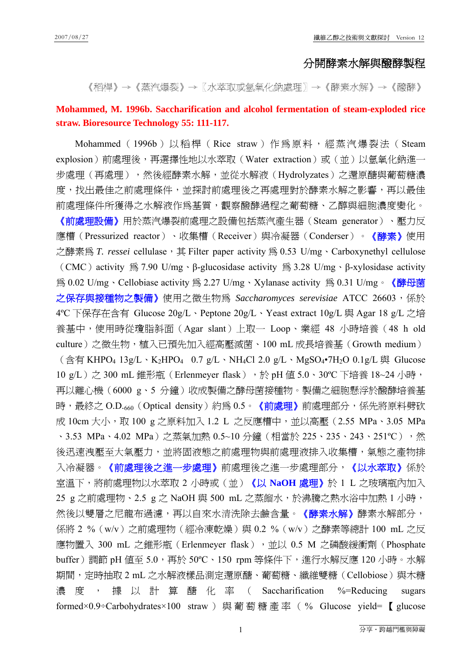## 分開酵素水解與醱酵製程

## 《稻桿》→《蒸汽爆裂》→〖水萃取或氫氧化鈉處理〗→《酵素水解》→《醱酵》

## **Mohammed, M. 1996b. Saccharification and alcohol fermentation of steam-exploded rice straw. Bioresource Technology 55: 111-117.**

Mohammed (1996b)以稻桿(Rice straw)作為原料,經蒸汽爆裂法(Steam explosion)前處理後,再選擇性地以水萃取 (Water extraction) 或 (並) 以氫氧化鈉進一 步處理(再處理),然後經酵素水解,並從水解液(Hydrolyzates)之還原醣與葡萄糖濃 度,找出最佳之前處理條件,並探討前處理後之再處理對於酵素水解之影響,再以最佳 前處理條件所獲得之水解液作為基質,觀察醱酵過程之葡萄糖、乙醇與細胞濃度變化。

《前處理設備》用於蒸汽爆裂前處理之設備包括蒸汽產生器(Steam generator)、壓力反 應槽(Pressurized reactor)、收集槽(Receiver)與冷凝器(Conderser)。《酵素》使用 之酵素為 *T. ressei* cellulase, 其 Filter paper activity 為 0.53 U/mg、Carboxynethyl cellulose (CMC)activity 為 7.90 U/mg、β-glucosidase activity 為 3.28 U/mg、β-xylosidase activity 為 0.02 U/mg、Cellobiase activity 為 2.27 U/mg、Xylanase activity 為 0.31 U/mg。《酵母菌 之保存與接種物之製備》使用之微生物為 Saccharomyces serevisiae ATCC 26603,係於 4ºC 下保存在含有 Glucose 20g/L、Peptone 20g/L、Yeast extract 10g/L 與 Agar 18 g/L 之培 養基中,使用時從瓊脂斜面(Agar slant)上取一 Loop、業經 48 小時培養(48 h old culture)之微生物,植入已預先加入經高壓滅菌、100 mL 成長培養基(Growth medium) (含有 KHPO<sub>4</sub> 13g/L、K<sub>2</sub>HPO<sub>4</sub> 0.7 g/L、NH<sub>4</sub>Cl 2.0 g/L、MgSO<sub>4</sub>•7H<sub>2</sub>O 0.1g/L 與 Glucose 10 g/L) 之 300 mL 錐形瓶 (Erlenmeyer flask), 於 pH 値 5.0、30°C 下培養 18~24 小時, 再以離心機 (6000 g、5 分鐘) 收成製備之酵母菌接種物。製備之細胞懸浮於醱酵培養基 時,最終之 O.D.<sub>660</sub> (Optical density) 約為 0.5。《前處理》前處理部分,係先將原料劈砍 成 10cm 大小,取 100 g 之原料加入 1.2 L 之反應槽中,並以高壓 (2.55 MPa、3.05 MPa 、3.53 MPa、4.02 MPa)之蒸氣加熱 0.5∼10 分鐘(相當於 225、235、243、251℃),然 後迅速洩壓至大氣壓力,並將固液態之前處理物與前處理液排入收集槽,氣態之產物排 入冷凝器。《**前處理後之進一步處**理後之進一步處理部分,《**以水萃取》**係於 室溫下,將前處理物以水萃取 2 小時或(並)《以 **NaOH** 處理》於 1 L 之玻璃瓶內加入 25 g 之前處理物、2.5 g 之 NaOH 與 500 mL 之蒸餾水,於沸騰之熱水浴中加熱 1 小時, 然後以雙層之尼龍布過濾,再以自來水清洗除去鹼含量。**《酵素水解》**酵素水解部分, 係將 2 %(w/v)之前處理物(經冷凍乾燥)與 0.2 %(w/v)之酵素等總計 100 mL 之反 應物置入 300 mL 之錐形瓶 (Erlenmeyer flask), 並以 0.5 M 之磷酸緩衝劑 (Phosphate buffer)調節 pH 値至 5.0,再於 50℃、150 rpm 等條件下,進行水解反應 120 小時。水解 期間,定時抽取 2 mL 之水解液樣品測定還原醣、葡萄糖、纖維雙糖(Cellobiose)與木糖 濃度, 據以計算醣化率 ( Saccharification %=Reducing sugars formed×0.9÷Carbohydrates×100 straw) 與葡萄糖產率 (% Glucose yield= 【 glucose